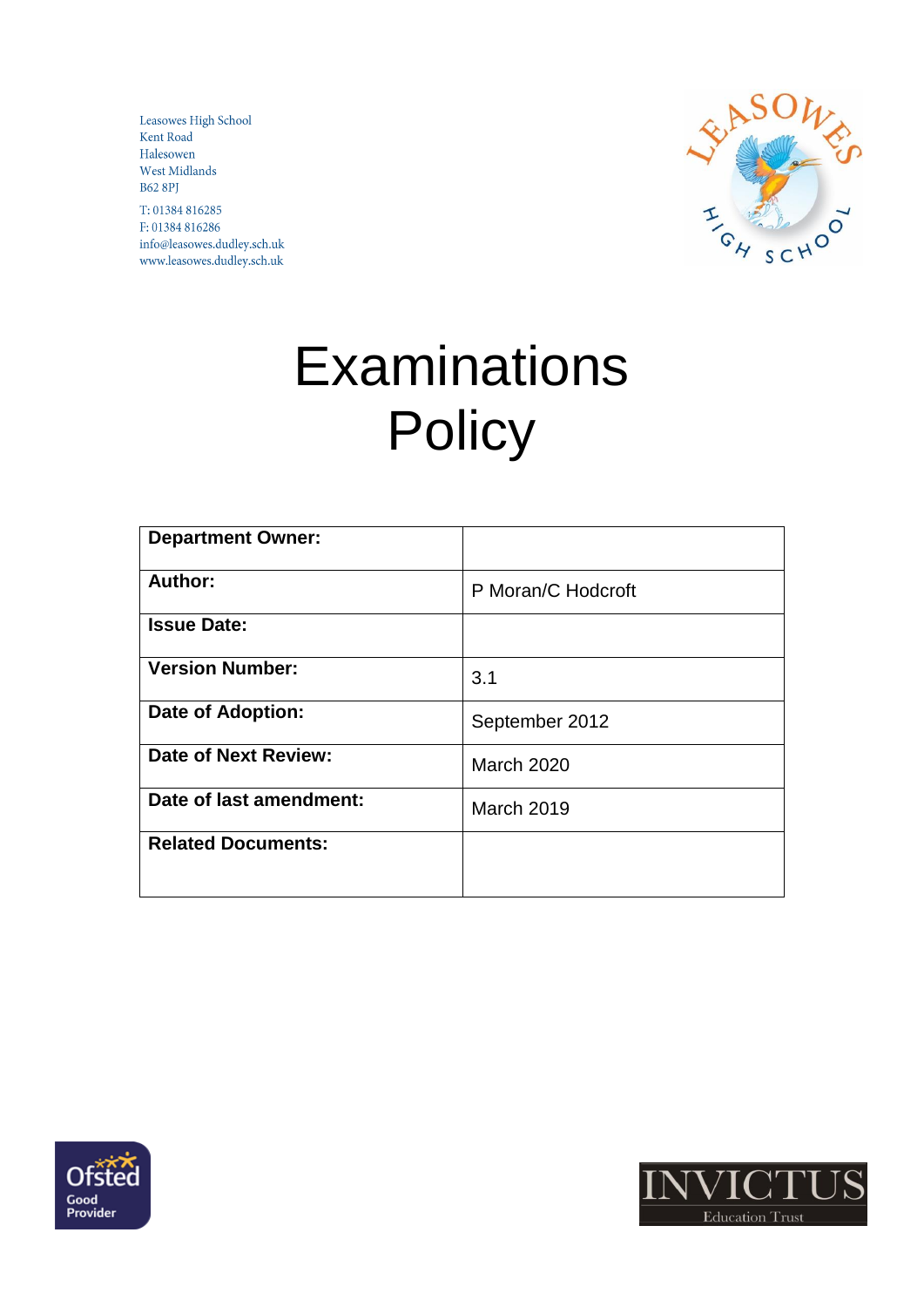Leasowes High School Kent Road Halesowen West Midlands **B62 8PJ** 

T: 01384 816285 F: 01384 816286 info@leasowes.dudley.sch.uk www.leasowes.dudley.sch.uk



# **Examinations Policy**

| <b>Department Owner:</b>  |                    |
|---------------------------|--------------------|
| Author:                   | P Moran/C Hodcroft |
| <b>Issue Date:</b>        |                    |
| <b>Version Number:</b>    | 3.1                |
| <b>Date of Adoption:</b>  | September 2012     |
| Date of Next Review:      | <b>March 2020</b>  |
| Date of last amendment:   | <b>March 2019</b>  |
| <b>Related Documents:</b> |                    |
|                           |                    |



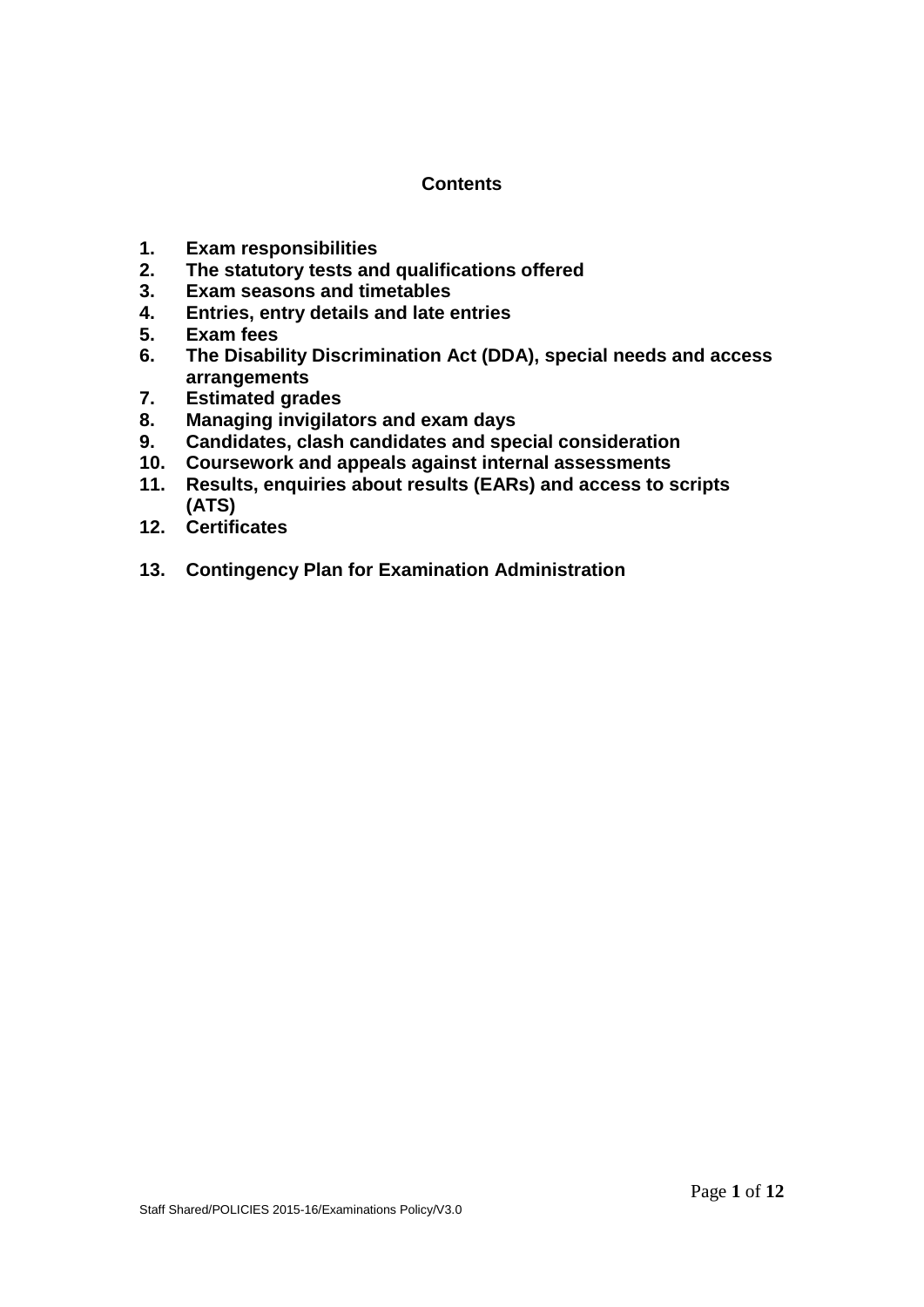## **Contents**

- **1. Exam responsibilities**
- **2. The statutory tests and qualifications offered**
- **3. Exam seasons and timetables**
- **4. Entries, entry details and late entries**
- **5. Exam fees**
- **6. The Disability Discrimination Act (DDA), special needs and access arrangements**
- **7. Estimated grades**
- **8. Managing invigilators and exam days**
- **9. Candidates, clash candidates and special consideration**
- **10. Coursework and appeals against internal assessments**
- **11. Results, enquiries about results (EARs) and access to scripts (ATS)**
- **12. Certificates**
- **13. Contingency Plan for Examination Administration**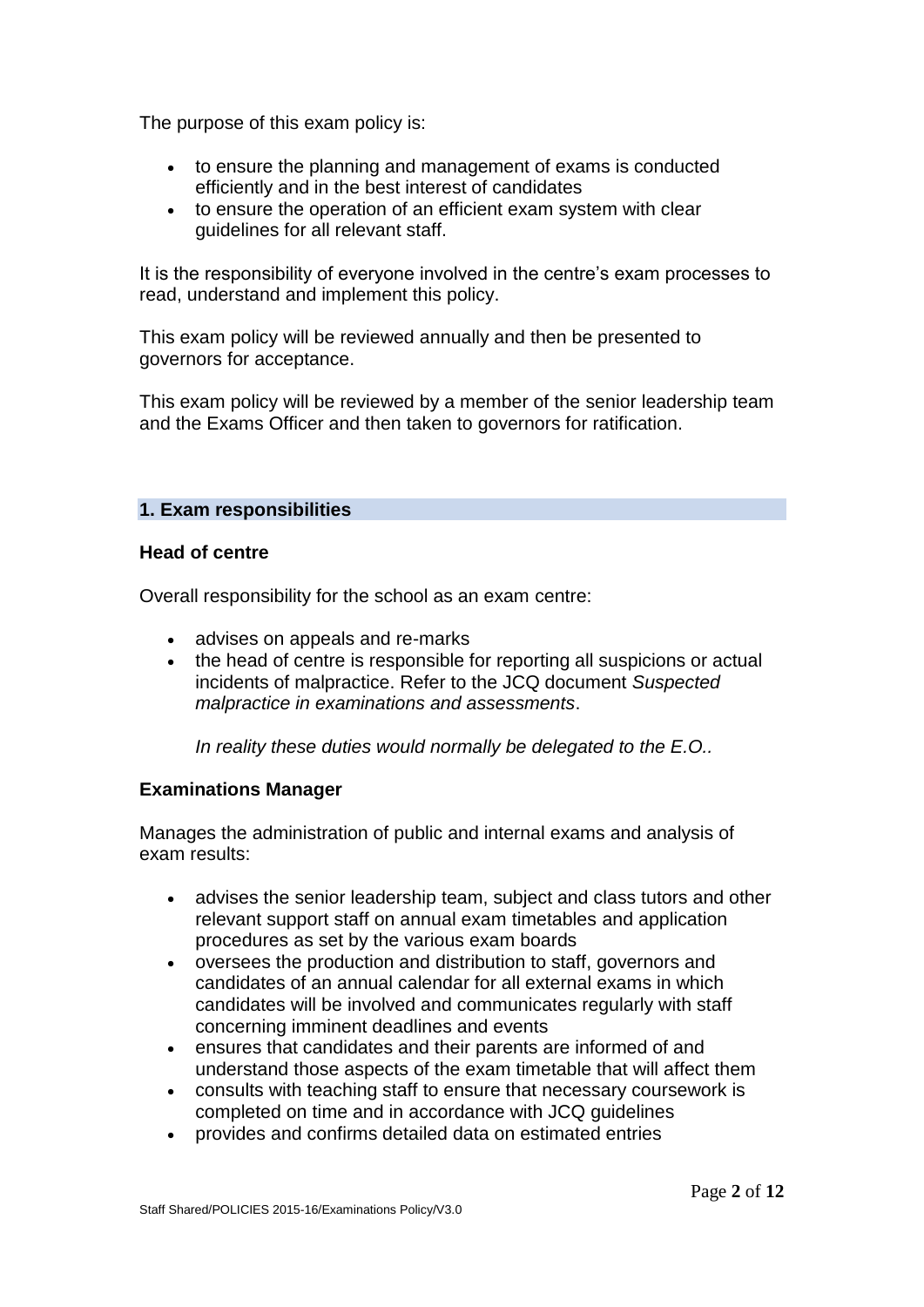The purpose of this exam policy is:

- to ensure the planning and management of exams is conducted efficiently and in the best interest of candidates
- to ensure the operation of an efficient exam system with clear guidelines for all relevant staff.

It is the responsibility of everyone involved in the centre's exam processes to read, understand and implement this policy.

This exam policy will be reviewed annually and then be presented to governors for acceptance.

This exam policy will be reviewed by a member of the senior leadership team and the Exams Officer and then taken to governors for ratification.

## **1. Exam responsibilities**

#### **Head of centre**

Overall responsibility for the school as an exam centre:

- advises on appeals and re-marks
- the head of centre is responsible for reporting all suspicions or actual incidents of malpractice. Refer to the JCQ document *Suspected malpractice in examinations and assessments*.

*In reality these duties would normally be delegated to the E.O..*

#### **Examinations Manager**

Manages the administration of public and internal exams and analysis of exam results:

- advises the senior leadership team, subject and class tutors and other relevant support staff on annual exam timetables and application procedures as set by the various exam boards
- oversees the production and distribution to staff, governors and candidates of an annual calendar for all external exams in which candidates will be involved and communicates regularly with staff concerning imminent deadlines and events
- ensures that candidates and their parents are informed of and understand those aspects of the exam timetable that will affect them
- consults with teaching staff to ensure that necessary coursework is completed on time and in accordance with JCQ guidelines
- provides and confirms detailed data on estimated entries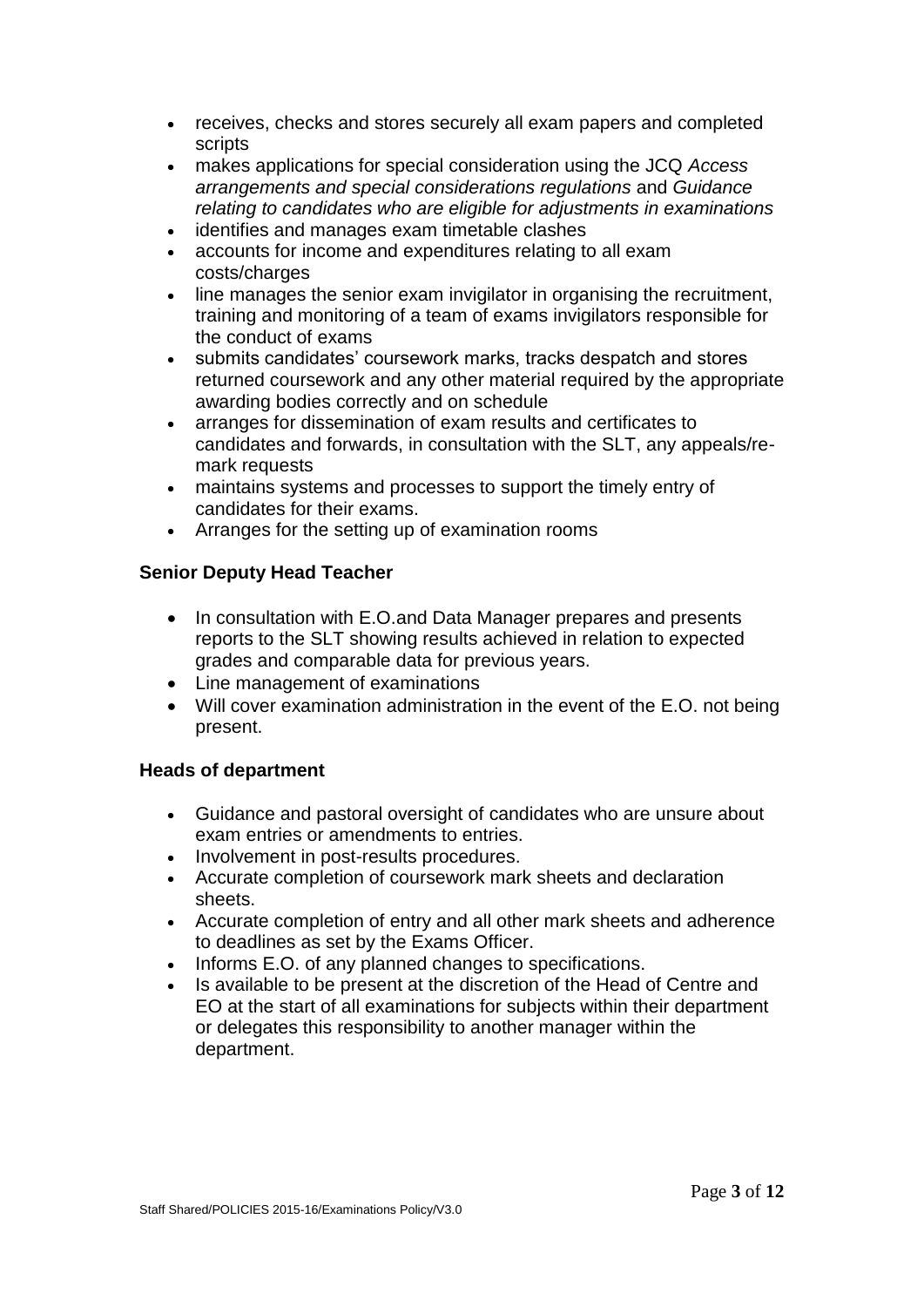- receives, checks and stores securely all exam papers and completed scripts
- makes applications for special consideration using the JCQ *Access arrangements and special considerations regulations* and *Guidance relating to candidates who are eligible for adjustments in examinations*
- identifies and manages exam timetable clashes
- accounts for income and expenditures relating to all exam costs/charges
- line manages the senior exam invigilator in organising the recruitment, training and monitoring of a team of exams invigilators responsible for the conduct of exams
- submits candidates' coursework marks, tracks despatch and stores returned coursework and any other material required by the appropriate awarding bodies correctly and on schedule
- arranges for dissemination of exam results and certificates to candidates and forwards, in consultation with the SLT, any appeals/remark requests
- maintains systems and processes to support the timely entry of candidates for their exams.
- Arranges for the setting up of examination rooms

## **Senior Deputy Head Teacher**

- In consultation with E.O.and Data Manager prepares and presents reports to the SLT showing results achieved in relation to expected grades and comparable data for previous years.
- Line management of examinations
- Will cover examination administration in the event of the E.O. not being present.

## **Heads of department**

- Guidance and pastoral oversight of candidates who are unsure about exam entries or amendments to entries.
- Involvement in post-results procedures.
- Accurate completion of coursework mark sheets and declaration sheets.
- Accurate completion of entry and all other mark sheets and adherence to deadlines as set by the Exams Officer.
- Informs E.O. of any planned changes to specifications.
- Is available to be present at the discretion of the Head of Centre and EO at the start of all examinations for subjects within their department or delegates this responsibility to another manager within the department.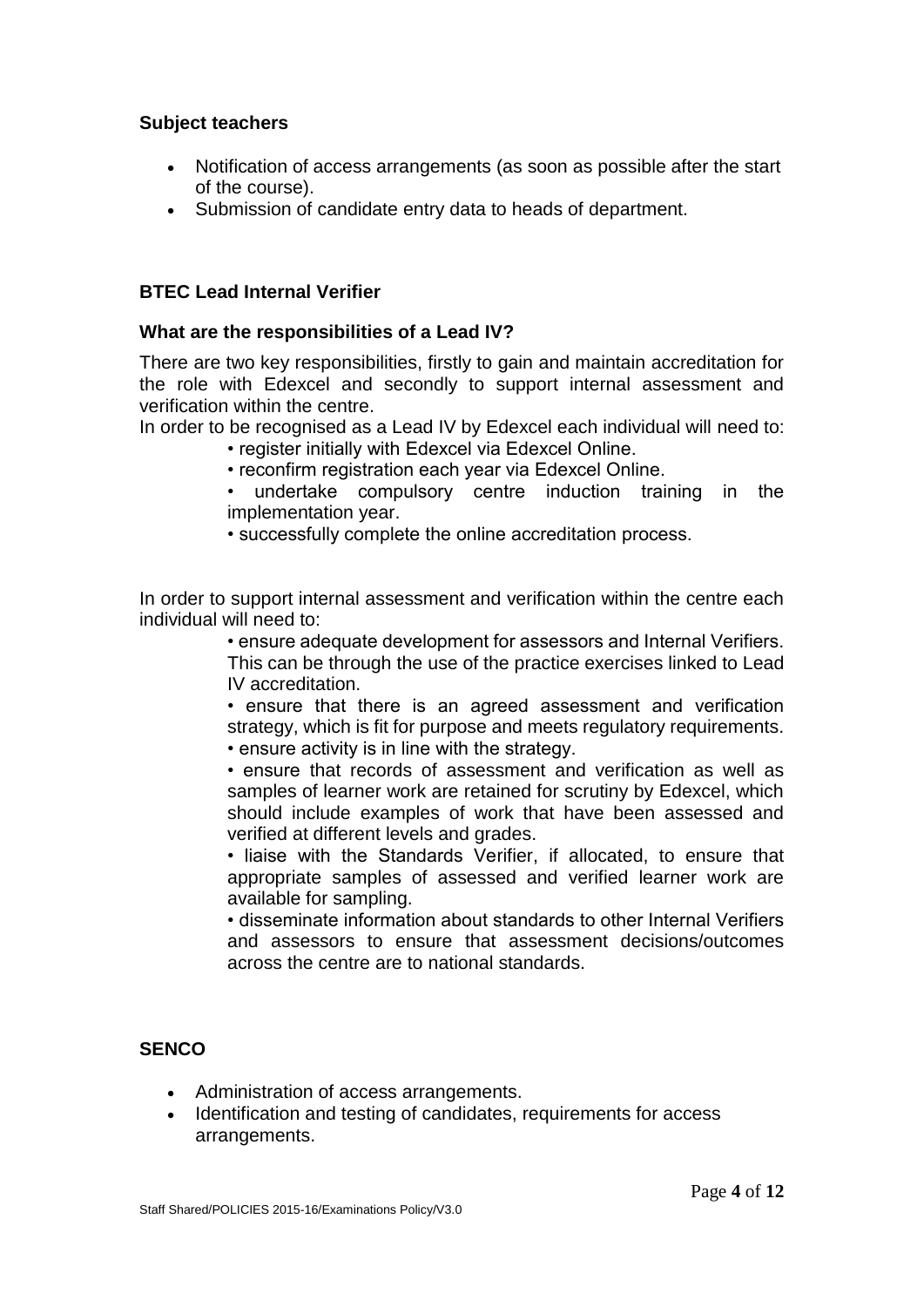#### **Subject teachers**

- Notification of access arrangements (as soon as possible after the start of the course).
- Submission of candidate entry data to heads of department.

# **BTEC Lead Internal Verifier**

## **What are the responsibilities of a Lead IV?**

There are two key responsibilities, firstly to gain and maintain accreditation for the role with Edexcel and secondly to support internal assessment and verification within the centre.

In order to be recognised as a Lead IV by Edexcel each individual will need to:

- register initially with Edexcel via Edexcel Online.
- reconfirm registration each year via Edexcel Online.
- undertake compulsory centre induction training in the implementation year.
- successfully complete the online accreditation process.

In order to support internal assessment and verification within the centre each individual will need to:

> • ensure adequate development for assessors and Internal Verifiers. This can be through the use of the practice exercises linked to Lead IV accreditation.

> • ensure that there is an agreed assessment and verification strategy, which is fit for purpose and meets regulatory requirements. • ensure activity is in line with the strategy.

> • ensure that records of assessment and verification as well as samples of learner work are retained for scrutiny by Edexcel, which should include examples of work that have been assessed and verified at different levels and grades.

> • liaise with the Standards Verifier, if allocated, to ensure that appropriate samples of assessed and verified learner work are available for sampling.

> • disseminate information about standards to other Internal Verifiers and assessors to ensure that assessment decisions/outcomes across the centre are to national standards.

# **SENCO**

- Administration of access arrangements.
- Identification and testing of candidates, requirements for access arrangements.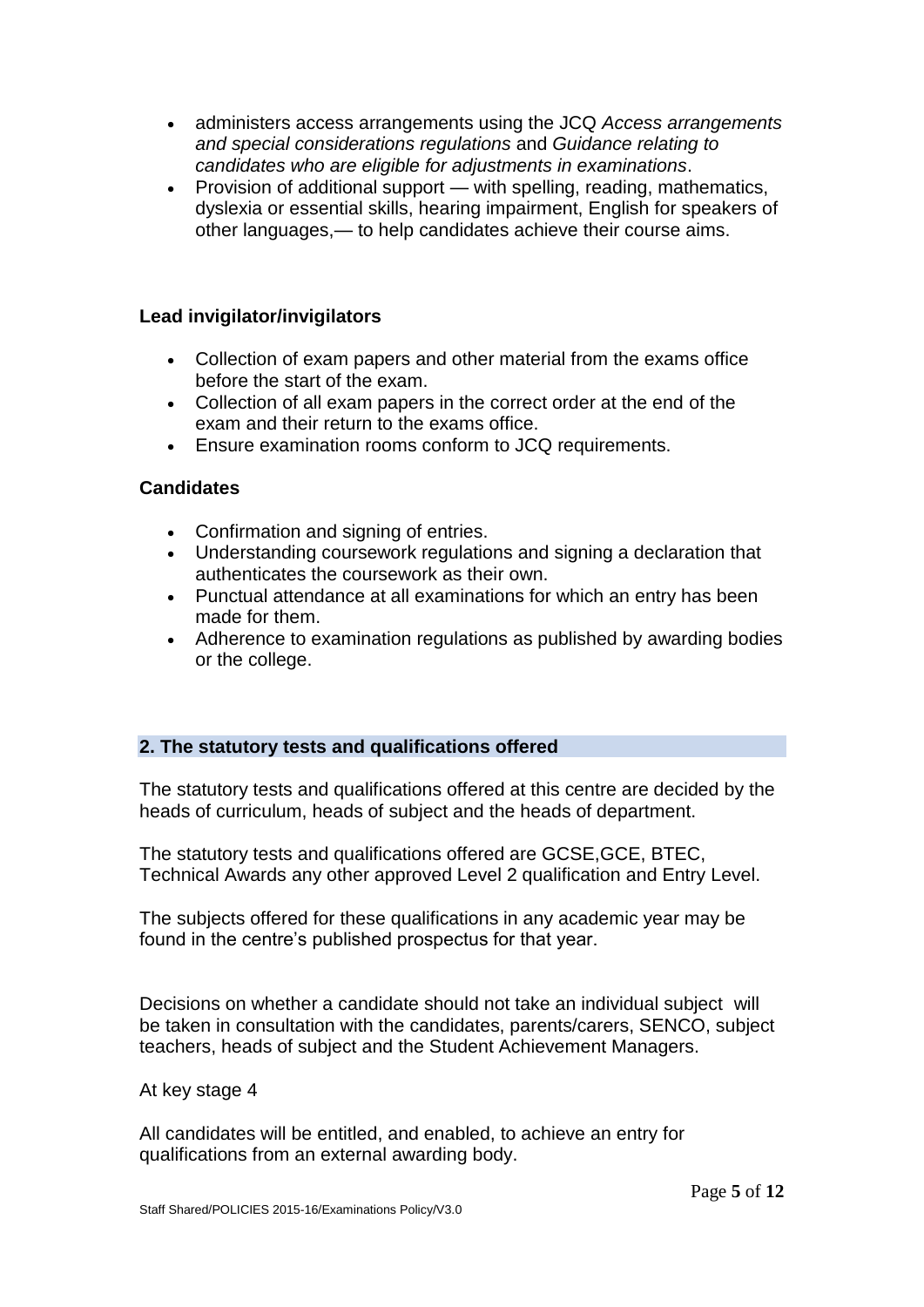- administers access arrangements using the JCQ *Access arrangements and special considerations regulations* and *Guidance relating to candidates who are eligible for adjustments in examinations*.
- Provision of additional support with spelling, reading, mathematics, dyslexia or essential skills, hearing impairment, English for speakers of other languages,— to help candidates achieve their course aims.

# **Lead invigilator/invigilators**

- Collection of exam papers and other material from the exams office before the start of the exam.
- Collection of all exam papers in the correct order at the end of the exam and their return to the exams office.
- Ensure examination rooms conform to JCQ requirements.

# **Candidates**

- Confirmation and signing of entries.
- Understanding coursework regulations and signing a declaration that authenticates the coursework as their own.
- Punctual attendance at all examinations for which an entry has been made for them.
- Adherence to examination regulations as published by awarding bodies or the college.

# **2. The statutory tests and qualifications offered**

The statutory tests and qualifications offered at this centre are decided by the heads of curriculum, heads of subject and the heads of department.

The statutory tests and qualifications offered are GCSE,GCE, BTEC, Technical Awards any other approved Level 2 qualification and Entry Level.

The subjects offered for these qualifications in any academic year may be found in the centre's published prospectus for that year.

Decisions on whether a candidate should not take an individual subject will be taken in consultation with the candidates, parents/carers, SENCO, subject teachers, heads of subject and the Student Achievement Managers.

## At key stage 4

All candidates will be entitled, and enabled, to achieve an entry for qualifications from an external awarding body.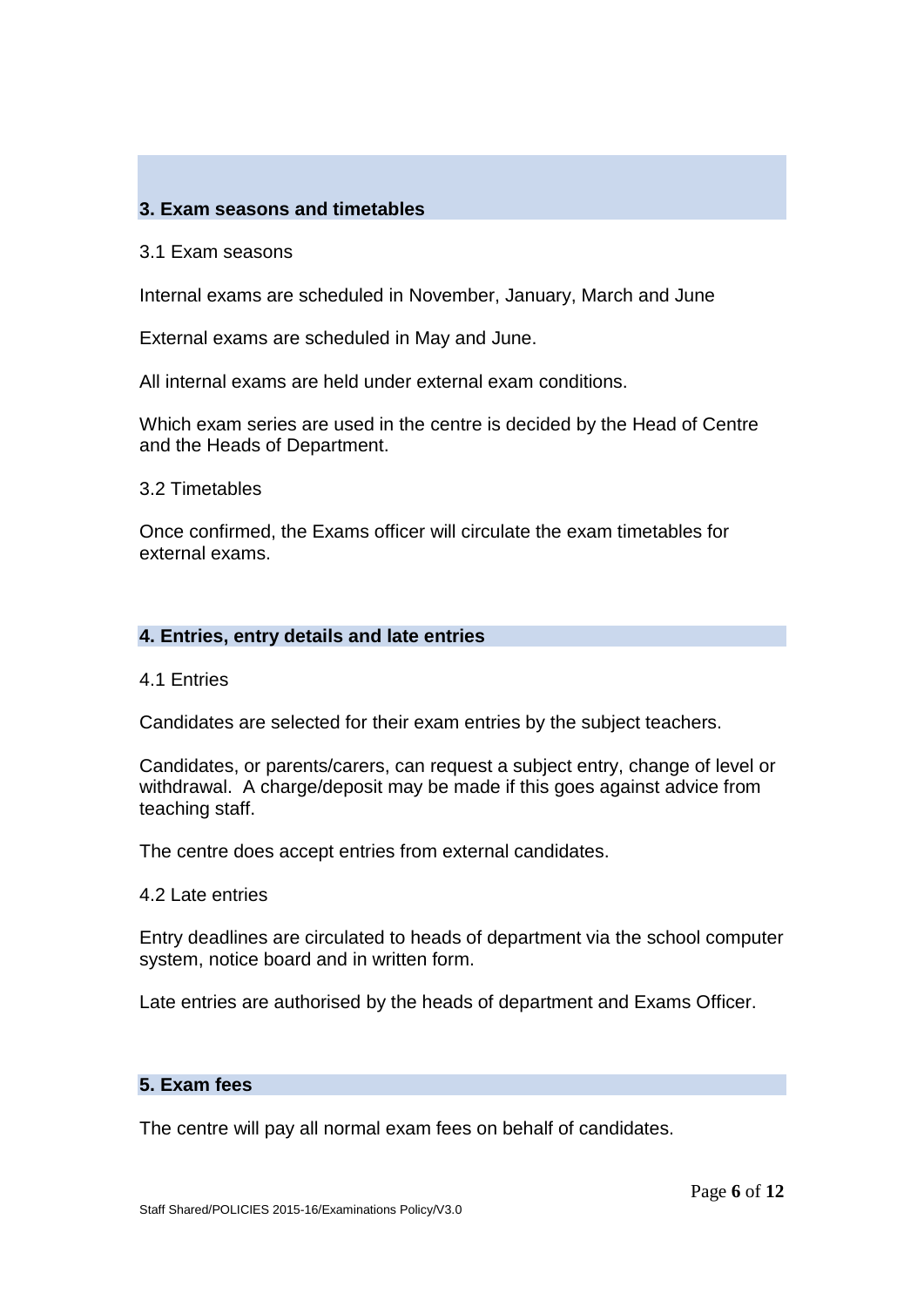# **3. Exam seasons and timetables**

#### 3.1 Exam seasons

Internal exams are scheduled in November, January, March and June

External exams are scheduled in May and June.

All internal exams are held under external exam conditions.

Which exam series are used in the centre is decided by the Head of Centre and the Heads of Department.

3.2 Timetables

Once confirmed, the Exams officer will circulate the exam timetables for external exams.

#### **4. Entries, entry details and late entries**

#### 4.1 Entries

Candidates are selected for their exam entries by the subject teachers.

Candidates, or parents/carers, can request a subject entry, change of level or withdrawal. A charge/deposit may be made if this goes against advice from teaching staff.

The centre does accept entries from external candidates.

4.2 Late entries

Entry deadlines are circulated to heads of department via the school computer system, notice board and in written form.

Late entries are authorised by the heads of department and Exams Officer.

#### **5. Exam fees**

The centre will pay all normal exam fees on behalf of candidates.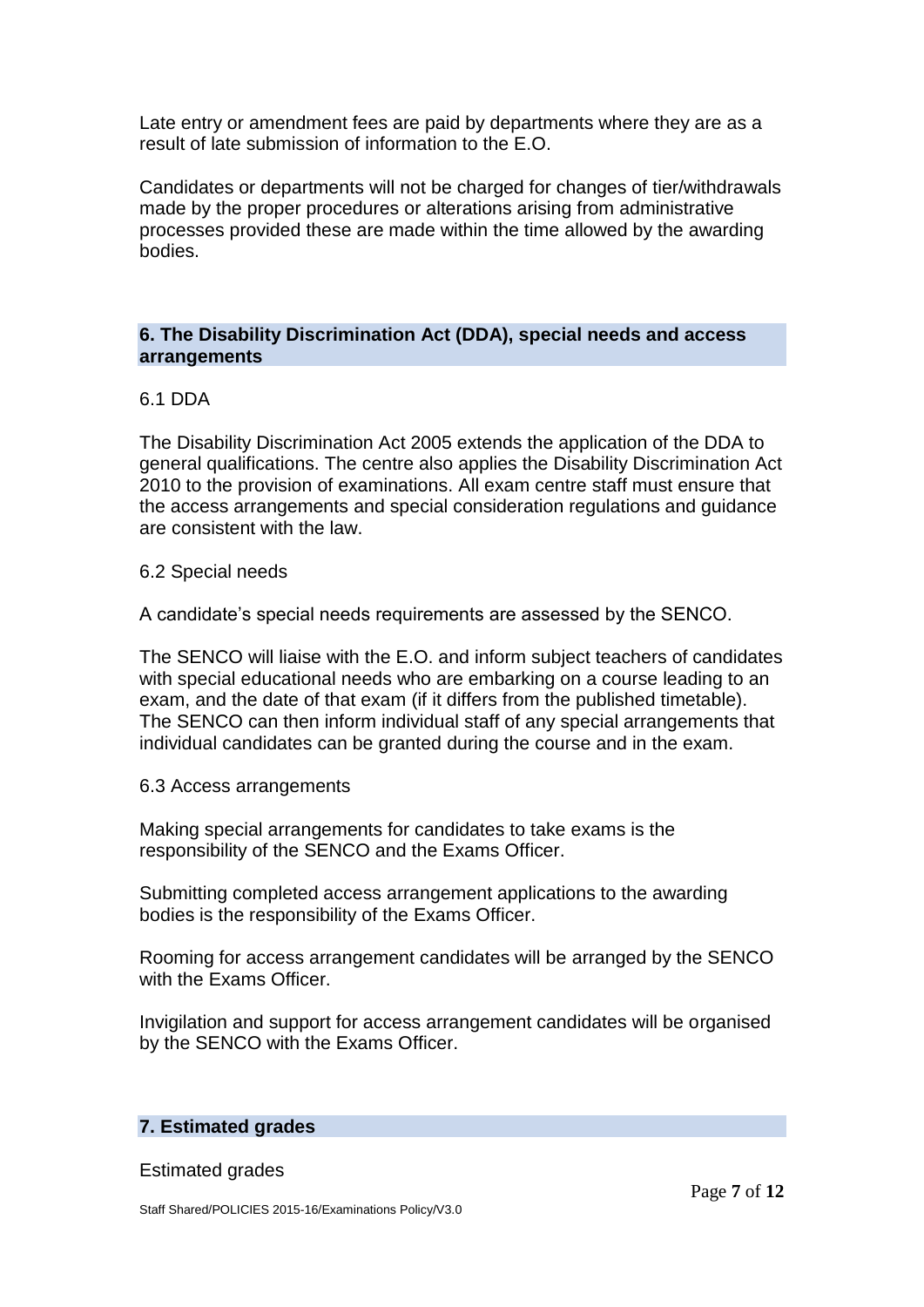Late entry or amendment fees are paid by departments where they are as a result of late submission of information to the E.O.

Candidates or departments will not be charged for changes of tier/withdrawals made by the proper procedures or alterations arising from administrative processes provided these are made within the time allowed by the awarding bodies.

# **6. The Disability Discrimination Act (DDA), special needs and access arrangements**

## 6.1 DDA

The Disability Discrimination Act 2005 extends the application of the DDA to general qualifications. The centre also applies the Disability Discrimination Act 2010 to the provision of examinations. All exam centre staff must ensure that the access arrangements and special consideration regulations and guidance are consistent with the law.

#### 6.2 Special needs

A candidate's special needs requirements are assessed by the SENCO.

The SENCO will liaise with the E.O. and inform subject teachers of candidates with special educational needs who are embarking on a course leading to an exam, and the date of that exam (if it differs from the published timetable). The SENCO can then inform individual staff of any special arrangements that individual candidates can be granted during the course and in the exam.

#### 6.3 Access arrangements

Making special arrangements for candidates to take exams is the responsibility of the SENCO and the Exams Officer.

Submitting completed access arrangement applications to the awarding bodies is the responsibility of the Exams Officer.

Rooming for access arrangement candidates will be arranged by the SENCO with the Exams Officer.

Invigilation and support for access arrangement candidates will be organised by the SENCO with the Exams Officer.

## **7. Estimated grades**

Estimated grades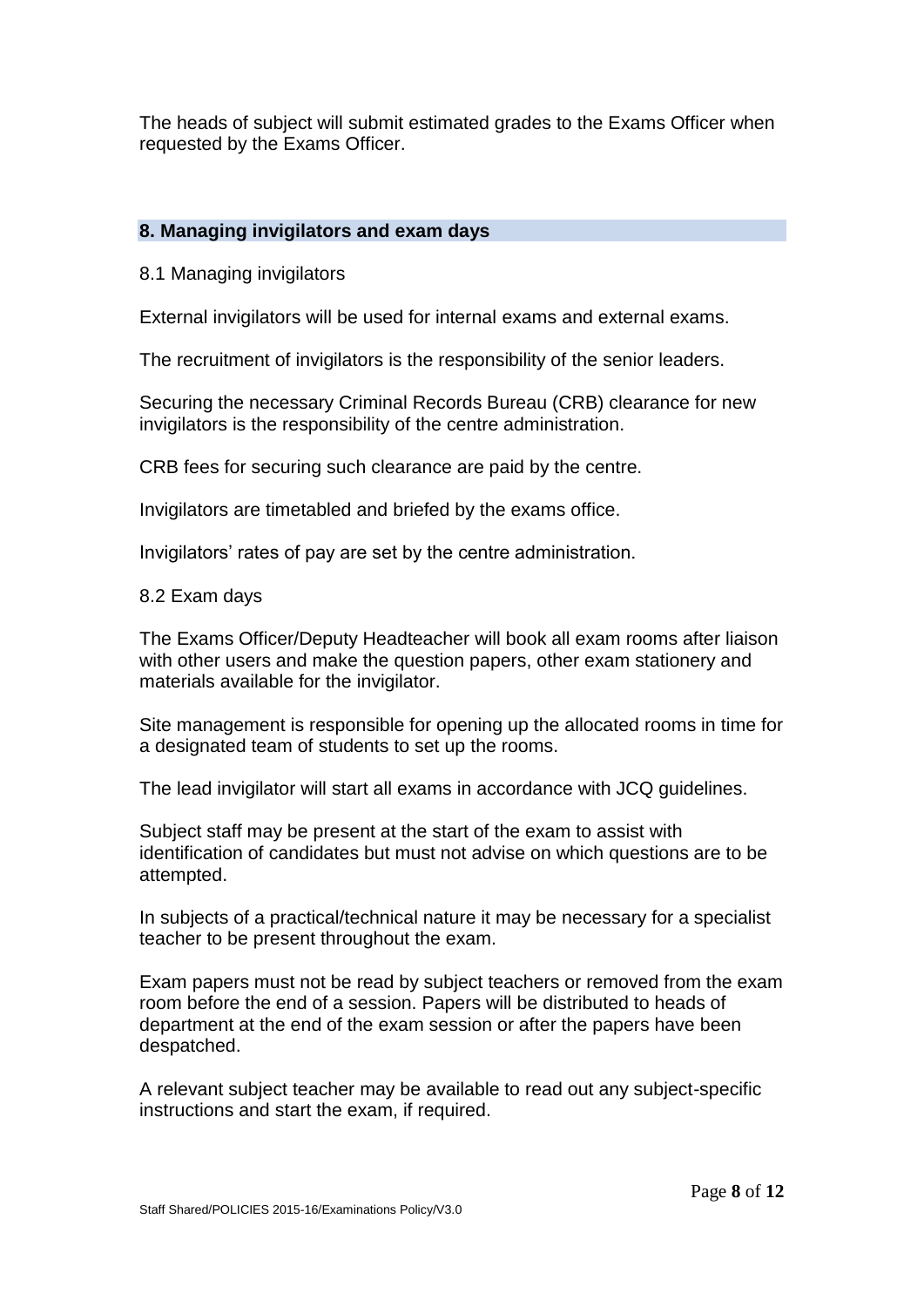The heads of subject will submit estimated grades to the Exams Officer when requested by the Exams Officer.

# **8. Managing invigilators and exam days**

8.1 Managing invigilators

External invigilators will be used for internal exams and external exams.

The recruitment of invigilators is the responsibility of the senior leaders.

Securing the necessary Criminal Records Bureau (CRB) clearance for new invigilators is the responsibility of the centre administration.

CRB fees for securing such clearance are paid by the centre.

Invigilators are timetabled and briefed by the exams office.

Invigilators' rates of pay are set by the centre administration.

#### 8.2 Exam days

The Exams Officer/Deputy Headteacher will book all exam rooms after liaison with other users and make the question papers, other exam stationery and materials available for the invigilator.

Site management is responsible for opening up the allocated rooms in time for a designated team of students to set up the rooms.

The lead invigilator will start all exams in accordance with JCQ guidelines.

Subject staff may be present at the start of the exam to assist with identification of candidates but must not advise on which questions are to be attempted.

In subjects of a practical/technical nature it may be necessary for a specialist teacher to be present throughout the exam.

Exam papers must not be read by subject teachers or removed from the exam room before the end of a session. Papers will be distributed to heads of department at the end of the exam session or after the papers have been despatched.

A relevant subject teacher may be available to read out any subject-specific instructions and start the exam, if required.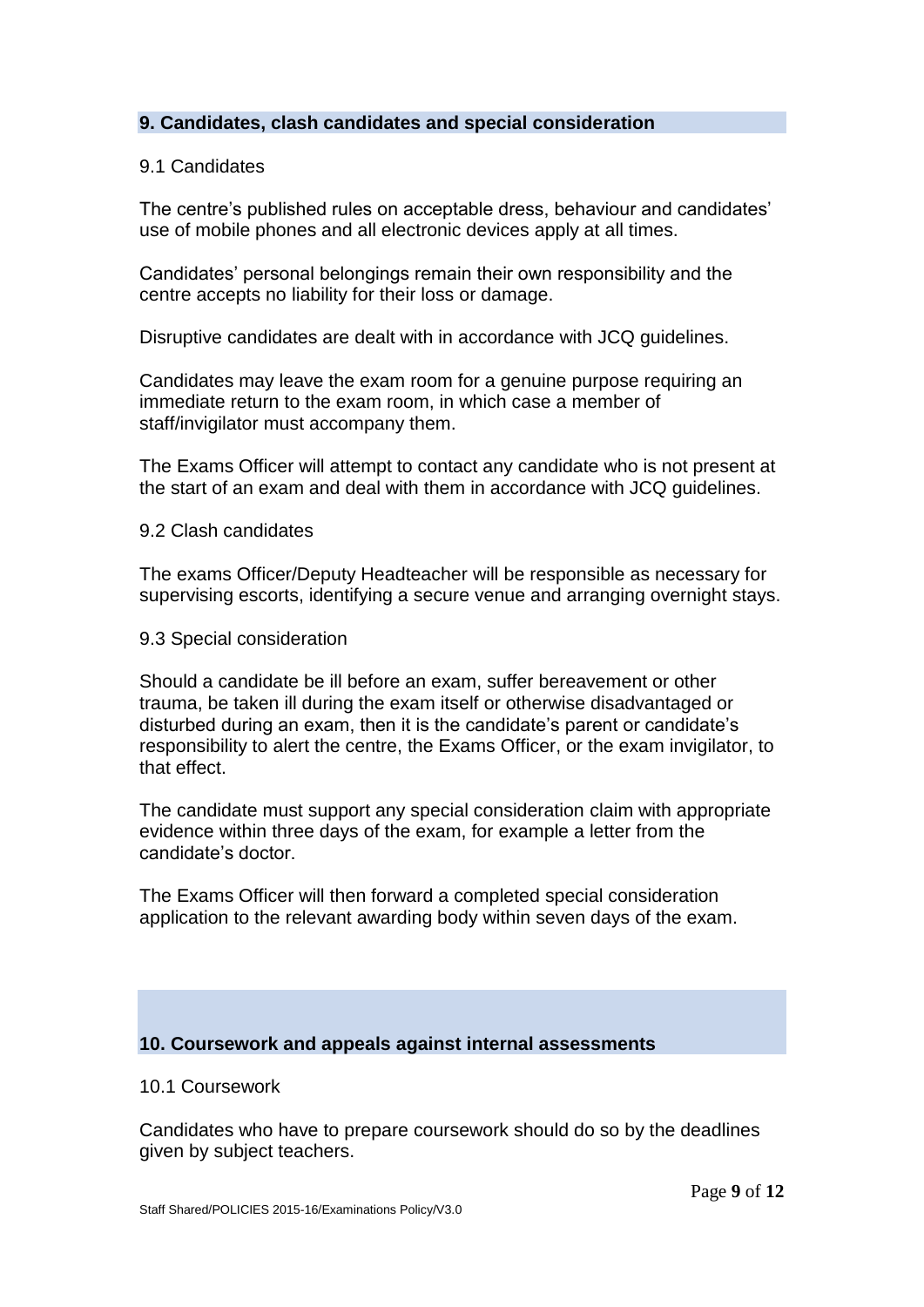## **9. Candidates, clash candidates and special consideration**

#### 9.1 Candidates

The centre's published rules on acceptable dress, behaviour and candidates' use of mobile phones and all electronic devices apply at all times.

Candidates' personal belongings remain their own responsibility and the centre accepts no liability for their loss or damage.

Disruptive candidates are dealt with in accordance with JCQ guidelines.

Candidates may leave the exam room for a genuine purpose requiring an immediate return to the exam room, in which case a member of staff/invigilator must accompany them.

The Exams Officer will attempt to contact any candidate who is not present at the start of an exam and deal with them in accordance with JCQ guidelines.

#### 9.2 Clash candidates

The exams Officer/Deputy Headteacher will be responsible as necessary for supervising escorts, identifying a secure venue and arranging overnight stays.

9.3 Special consideration

Should a candidate be ill before an exam, suffer bereavement or other trauma, be taken ill during the exam itself or otherwise disadvantaged or disturbed during an exam, then it is the candidate's parent or candidate's responsibility to alert the centre, the Exams Officer, or the exam invigilator, to that effect.

The candidate must support any special consideration claim with appropriate evidence within three days of the exam, for example a letter from the candidate's doctor.

The Exams Officer will then forward a completed special consideration application to the relevant awarding body within seven days of the exam.

#### **10. Coursework and appeals against internal assessments**

#### 10.1 Coursework

Candidates who have to prepare coursework should do so by the deadlines given by subject teachers.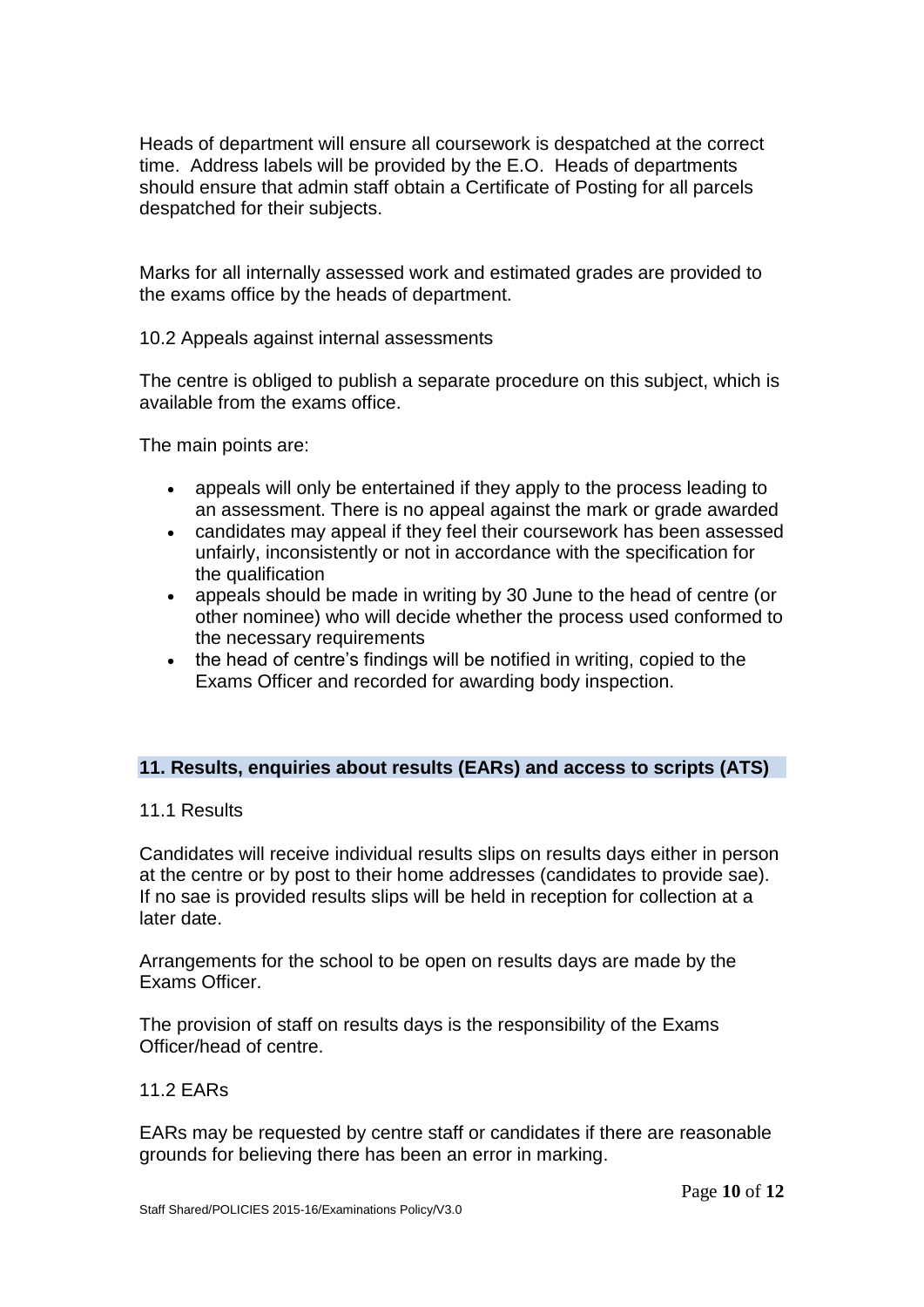Heads of department will ensure all coursework is despatched at the correct time. Address labels will be provided by the E.O. Heads of departments should ensure that admin staff obtain a Certificate of Posting for all parcels despatched for their subjects.

Marks for all internally assessed work and estimated grades are provided to the exams office by the heads of department.

10.2 Appeals against internal assessments

The centre is obliged to publish a separate procedure on this subject, which is available from the exams office.

The main points are:

- appeals will only be entertained if they apply to the process leading to an assessment. There is no appeal against the mark or grade awarded
- candidates may appeal if they feel their coursework has been assessed unfairly, inconsistently or not in accordance with the specification for the qualification
- appeals should be made in writing by 30 June to the head of centre (or other nominee) who will decide whether the process used conformed to the necessary requirements
- the head of centre's findings will be notified in writing, copied to the Exams Officer and recorded for awarding body inspection.

## **11. Results, enquiries about results (EARs) and access to scripts (ATS)**

#### 11.1 Results

Candidates will receive individual results slips on results days either in person at the centre or by post to their home addresses (candidates to provide sae). If no sae is provided results slips will be held in reception for collection at a later date.

Arrangements for the school to be open on results days are made by the Exams Officer.

The provision of staff on results days is the responsibility of the Exams Officer/head of centre.

#### 11.2 EARs

EARs may be requested by centre staff or candidates if there are reasonable grounds for believing there has been an error in marking.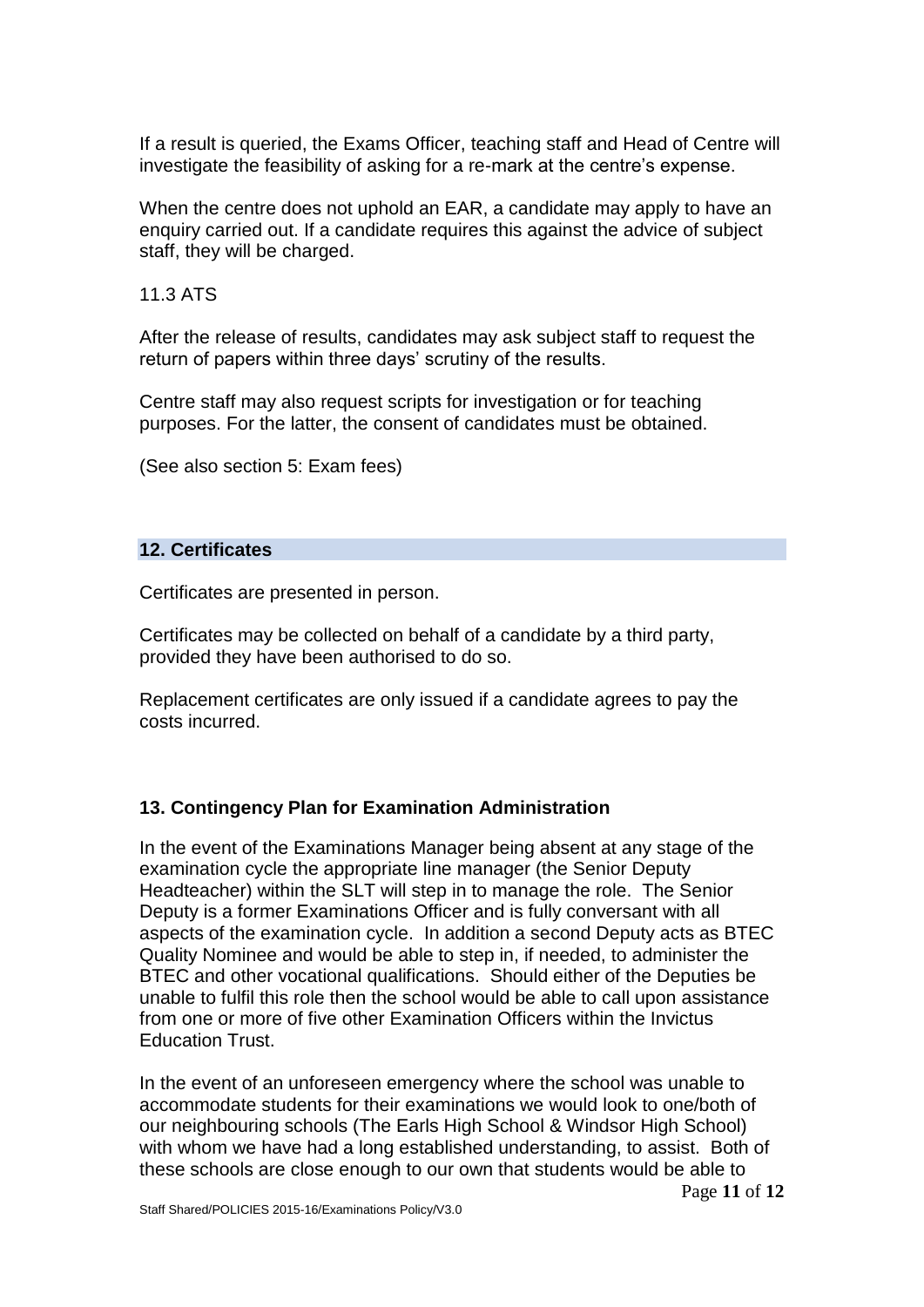If a result is queried, the Exams Officer, teaching staff and Head of Centre will investigate the feasibility of asking for a re-mark at the centre's expense.

When the centre does not uphold an EAR, a candidate may apply to have an enquiry carried out. If a candidate requires this against the advice of subject staff, they will be charged.

11.3 ATS

After the release of results, candidates may ask subject staff to request the return of papers within three days' scrutiny of the results.

Centre staff may also request scripts for investigation or for teaching purposes. For the latter, the consent of candidates must be obtained.

(See also section 5: Exam fees)

#### **12. Certificates**

Certificates are presented in person.

Certificates may be collected on behalf of a candidate by a third party, provided they have been authorised to do so.

Replacement certificates are only issued if a candidate agrees to pay the costs incurred.

## **13. Contingency Plan for Examination Administration**

In the event of the Examinations Manager being absent at any stage of the examination cycle the appropriate line manager (the Senior Deputy Headteacher) within the SLT will step in to manage the role. The Senior Deputy is a former Examinations Officer and is fully conversant with all aspects of the examination cycle. In addition a second Deputy acts as BTEC Quality Nominee and would be able to step in, if needed, to administer the BTEC and other vocational qualifications. Should either of the Deputies be unable to fulfil this role then the school would be able to call upon assistance from one or more of five other Examination Officers within the Invictus Education Trust.

In the event of an unforeseen emergency where the school was unable to accommodate students for their examinations we would look to one/both of our neighbouring schools (The Earls High School & Windsor High School) with whom we have had a long established understanding, to assist. Both of these schools are close enough to our own that students would be able to